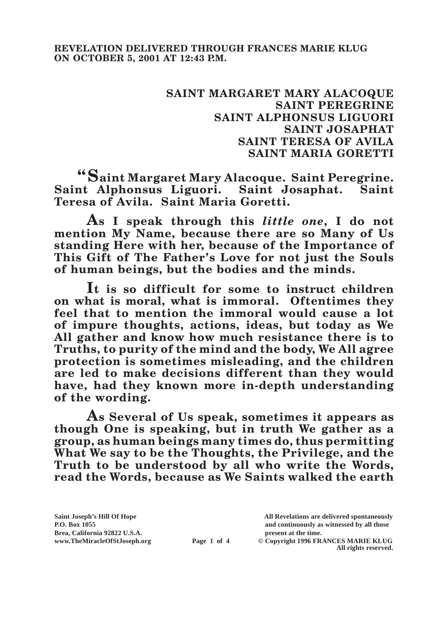## **SAINT MARGARET MARY ALACOQUE SAINT PEREGRINE SAINT ALPHONSUS LIGUORI SAINT JOSAPHAT SAINT TERESA OF AVILA SAINT MARIA GORETTI**

**"Saint Margaret Mary Alacoque. Saint Peregrine. Saint Alphonsus Liguori. Saint Josaphat. Saint Teresa of Avila. Saint Maria Goretti.**

**As I speak through this** *little one***, I do not mention My Name, because there are so Many of Us standing Here with her, because of the Importance of This Gift of The Father's Love for not just the Souls of human beings, but the bodies and the minds.**

**It is so difficult for some to instruct children on what is moral, what is immoral. Oftentimes they feel that to mention the immoral would cause a lot of impure thoughts, actions, ideas, but today as We All gather and know how much resistance there is to Truths, to purity of the mind and the body, We All agree protection is sometimes misleading, and the children are led to make decisions different than they would have, had they known more in-depth understanding of the wording.**

**As Several of Us speak, sometimes it appears as though One is speaking, but in truth We gather as a group, as human beings many times do, thus permitting What We say to be the Thoughts, the Privilege, and the Truth to be understood by all who write the Words, read the Words, because as We Saints walked the earth** 

**Saint Joseph's Hill Of Hope All Revelations are delivered spontaneously** Brea, California 92822 U.S.A.<br>
www.TheMiracleOfStJoseph.org<br> **Page 1 of 4** © Copyright 1996 FR.

**P.O. Box 1055 and continuously as witnessed by all those** 

**Page 1 of 4** © Copyright 1996 FRANCES MARIE KLUG **All rights reserved.**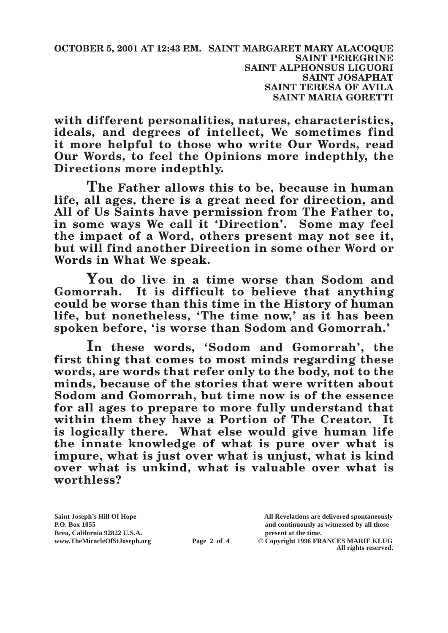**with different personalities, natures, characteristics, ideals, and degrees of intellect, We sometimes find it more helpful to those who write Our Words, read Our Words, to feel the Opinions more indepthly, the Directions more indepthly.**

**The Father allows this to be, because in human life, all ages, there is a great need for direction, and All of Us Saints have permission from The Father to, in some ways We call it 'Direction'. Some may feel the impact of a Word, others present may not see it, but will find another Direction in some other Word or Words in What We speak.**

**You do live in a time worse than Sodom and Gomorrah. It is difficult to believe that anything could be worse than this time in the History of human life, but nonetheless, 'The time now,' as it has been spoken before, 'is worse than Sodom and Gomorrah.'**

**In these words, 'Sodom and Gomorrah', the first thing that comes to most minds regarding these words, are words that refer only to the body, not to the minds, because of the stories that were written about Sodom and Gomorrah, but time now is of the essence for all ages to prepare to more fully understand that within them they have a Portion of The Creator. It is logically there. What else would give human life the innate knowledge of what is pure over what is impure, what is just over what is unjust, what is kind over what is unkind, what is valuable over what is worthless?**

Brea, California 92822 U.S.A.<br>
www.TheMiracleOfStJoseph.org<br> **Page 2 of 4** © Copyright 1996 FR.

**Saint Joseph's Hill Of Hope All Revelations are delivered spontaneously P.O. Box 1055 and continuously as witnessed by all those** 

**Page 2 of 4** © Copyright 1996 FRANCES MARIE KLUG **All rights reserved.**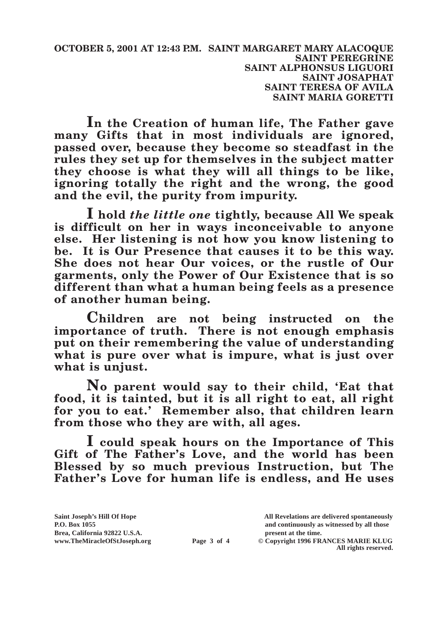**OCTOBER 5, 2001 AT 12:43 P.M. SAINT MARGARET MARY ALACOQUE SAINT PEREGRINE SAINT ALPHONSUS LIGUORI SAINT JOSAPHAT SAINT TERESA OF AVILA SAINT MARIA GORETTI**

**In the Creation of human life, The Father gave many Gifts that in most individuals are ignored, passed over, because they become so steadfast in the rules they set up for themselves in the subject matter they choose is what they will all things to be like, ignoring totally the right and the wrong, the good and the evil, the purity from impurity.**

**I hold** *the little one* **tightly, because All We speak is difficult on her in ways inconceivable to anyone else. Her listening is not how you know listening to be. It is Our Presence that causes it to be this way. She does not hear Our voices, or the rustle of Our garments, only the Power of Our Existence that is so different than what a human being feels as a presence of another human being.**

**Children are not being instructed on the importance of truth. There is not enough emphasis put on their remembering the value of understanding what is pure over what is impure, what is just over what is unjust.**

**No parent would say to their child, 'Eat that food, it is tainted, but it is all right to eat, all right for you to eat.' Remember also, that children learn from those who they are with, all ages.**

**I could speak hours on the Importance of This Gift of The Father's Love, and the world has been Blessed by so much previous Instruction, but The Father's Love for human life is endless, and He uses**